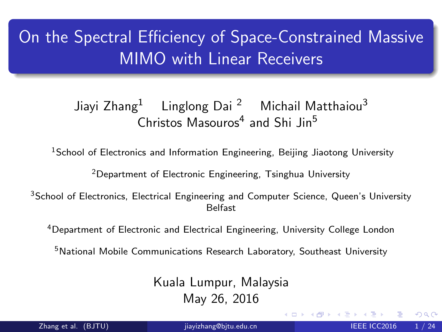# On the Spectral Efficiency of Space-Constrained Massive MIMO with Linear Receivers

### Jiayi Zhang<sup>1</sup> Linglong Dai<sup>2</sup> Michail Matthaiou<sup>3</sup> Christos Masouros<sup>4</sup> and Shi Jin<sup>5</sup>

<sup>1</sup>School of Electronics and Information Engineering, Beijing Jiaotong University

<sup>2</sup>Department of Electronic Engineering, Tsinghua University

<sup>3</sup>School of Electronics, Electrical Engineering and Computer Science, Queen's University Belfast

<sup>4</sup>Department of Electronic and Electrical Engineering, University College London

<sup>5</sup>National Mobile Communications Research Laboratory, Southeast University

Kuala Lumpur, Malaysia May 26, 2016

Zhang et al. (BJTU) is iayizhang@bjtu.edu.cn is a set of the IEEE ICC2016 1 / 24

<span id="page-0-0"></span> $QQ$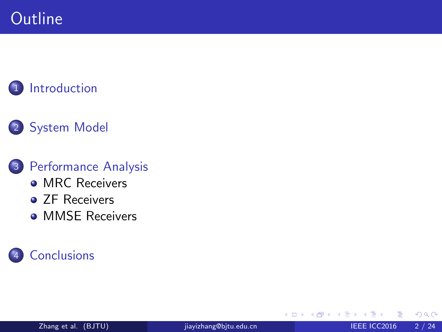### **[Introduction](#page-2-0)**

### 2 [System Model](#page-3-0)

#### 3 [Performance Analysis](#page-7-0)

- [MRC Receivers](#page-7-0)
- **ZF** Receivers
- **[MMSE Receivers](#page-16-0)**

### **[Conclusions](#page-21-0)**

4 0 8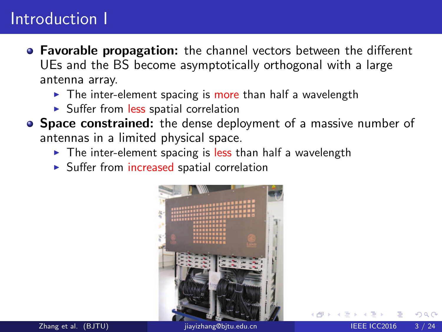### Introduction I

- **Favorable propagation:** the channel vectors between the different UEs and the BS become asymptotically orthogonal with a large antenna array.
	- $\triangleright$  The inter-element spacing is more than half a wavelength
	- ▶ Suffer from less spatial correlation
- Space constrained: the dense deployment of a massive number of antennas in a limited physical space.
	- $\triangleright$  The inter-element spacing is less than half a wavelength
	- ▶ Suffer from increased spatial correlation



<span id="page-2-0"></span>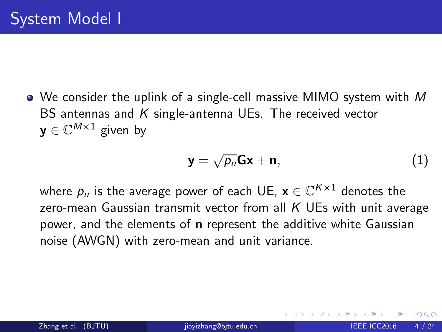• We consider the uplink of a single-cell massive MIMO system with M BS antennas and K single-antenna UEs. The received vector  $\mathbf{y} \in \mathbb{C}^{M \times 1}$  given by

$$
y = \sqrt{\rho_u}Gx + n,\tag{1}
$$

where  $p_u$  is the average power of each UE,  $\mathbf{x} \in \mathbb{C}^{K \times 1}$  denotes the zero-mean Gaussian transmit vector from all  $K$  UEs with unit average power, and the elements of n represent the additive white Gaussian noise (AWGN) with zero-mean and unit variance.

<span id="page-3-0"></span> $\Omega$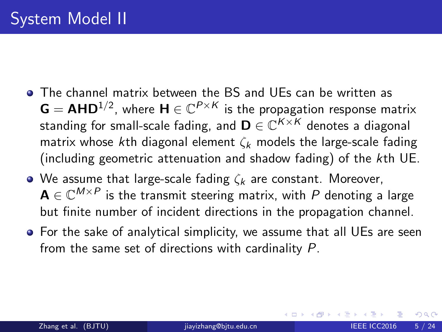- The channel matrix between the BS and UEs can be written as  $G = AHD^{1/2}$ , where  $H \in \mathbb{C}^{P \times K}$  is the propagation response matrix standing for small-scale fading, and  $\mathbf{D} \in \mathbb{C}^{K \times K}$  denotes a diagonal matrix whose kth diagonal element  $\zeta_k$  models the large-scale fading (including geometric attenuation and shadow fading) of the kth UE.
- We assume that large-scale fading  $\zeta_k$  are constant. Moreover,  $\mathbf{A} \in \mathbb{C}^{M \times P}$  is the transmit steering matrix, with  $P$  denoting a large but finite number of incident directions in the propagation channel.
- For the sake of analytical simplicity, we assume that all UEs are seen from the same set of directions with cardinality P.

つひひ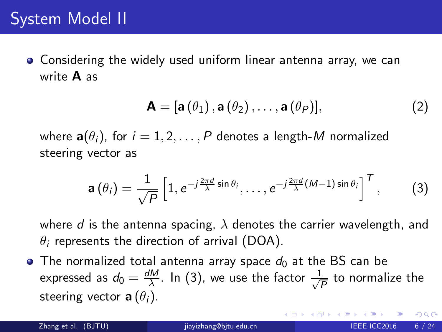Considering the widely used uniform linear antenna array, we can write A as

$$
\mathbf{A} = [\mathbf{a}(\theta_1), \mathbf{a}(\theta_2), \dots, \mathbf{a}(\theta_P)], \qquad (2)
$$

where  $\mathbf{a}(\theta_i)$ , for  $i = 1, 2, \ldots, P$  denotes a length-M normalized steering vector as

<span id="page-5-0"></span>
$$
\mathbf{a}(\theta_i) = \frac{1}{\sqrt{P}} \left[ 1, e^{-j\frac{2\pi d}{\lambda}\sin\theta_i}, \dots, e^{-j\frac{2\pi d}{\lambda}(M-1)\sin\theta_i} \right]^T, \tag{3}
$$

where d is the antenna spacing,  $\lambda$  denotes the carrier wavelength, and  $\theta_i$  represents the direction of arrival (DOA).

• The normalized total antenna array space  $d_0$  at the BS can be expressed as  $d_0 = \frac{dM}{\lambda}$  $\frac{M}{\lambda}$ . In [\(3\)](#page-5-0), we use the factor  $\frac{1}{\sqrt{2}}$  $\frac{1}{\overline{P}}$  to normalize the steering vector  $\mathbf{a}(\theta_i)$ .

つへへ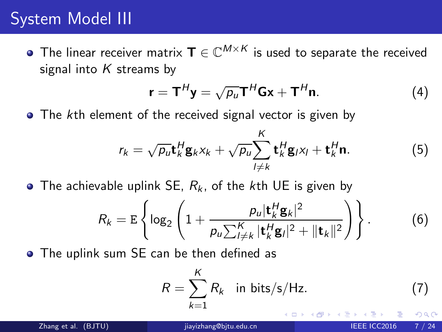### System Model III

The linear receiver matrix  $\mathbf{T} \in \mathbb{C}^{M \times K}$  is used to separate the received signal into  $K$  streams by

$$
\mathbf{r} = \mathbf{T}^{H} \mathbf{y} = \sqrt{\rho_{u}} \mathbf{T}^{H} \mathbf{G} \mathbf{x} + \mathbf{T}^{H} \mathbf{n}.
$$
 (4)

• The kth element of the received signal vector is given by

$$
r_k = \sqrt{\rho_u} \mathbf{t}_k^H \mathbf{g}_k x_k + \sqrt{\rho_u} \sum_{l \neq k}^K \mathbf{t}_k^H \mathbf{g}_l x_l + \mathbf{t}_k^H \mathbf{n}.
$$
 (5)

• The achievable uplink SE,  $R_k$ , of the kth UE is given by

$$
R_k = \mathbb{E}\left\{\log_2\left(1+\frac{p_u|\mathbf{t}_k^H\mathbf{g}_k|^2}{p_u\sum_{l\neq k}^K|\mathbf{t}_k^H\mathbf{g}_l|^2+||\mathbf{t}_k||^2}\right)\right\}.
$$
 (6)

The uplink sum SE can be then defined as

<span id="page-6-0"></span>
$$
R = \sum_{k=1}^{K} R_k \quad \text{in bits/s/Hz.} \tag{7}
$$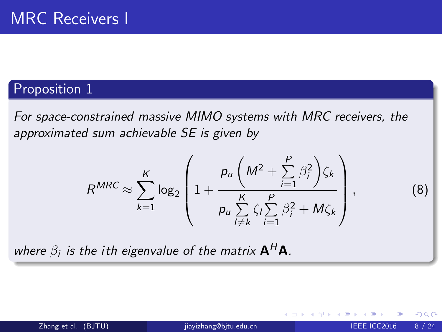#### Proposition 1

For space-constrained massive MIMO systems with MRC receivers, the approximated sum achievable SE is given by

$$
R^{MRC} \approx \sum_{k=1}^{K} \log_2 \left( 1 + \frac{p_u \left( M^2 + \sum_{i=1}^{P} \beta_i^2 \right) \zeta_k}{p_u \sum_{l \neq k}^{K} \zeta_l \sum_{i=1}^{P} \beta_i^2 + M \zeta_k} \right)
$$

where  $\beta_i$  is the ith eigenvalue of the matrix  $\mathsf{A}^H\mathsf{A}.$ 

 $\leftarrow$ 

, (8)

<span id="page-7-0"></span> $2Q$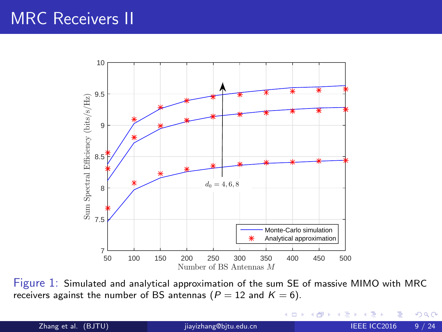### MRC Receivers II



Figure 1: Simulated and analytical approximation of the sum SE of massive MIMO with MRC receivers against the number of BS antennas ( $P = 12$  and  $K = 6$ ).

4 0 8

Zhang et al. (BJTU) is invigited under the state of the state of the state of the state of the state of the state of the state of the state of the state of the state of the state of the state of the state of the state of t

<span id="page-8-0"></span> $\equiv$ 

э  $\rightarrow$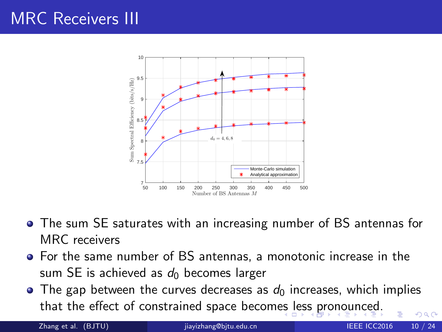# MRC Receivers III



- The sum SE saturates with an increasing number of BS antennas for MRC receivers
- For the same number of BS antennas, a monotonic increase in the sum SE is achieved as  $d_0$  becomes larger
- $\bullet$  The gap between the curves decreases as  $d_0$  increases, which implies that the effect of constrained space becom[es](#page-8-0)l[es](#page-10-0)[s](#page-8-0) [pr](#page-9-0)[o](#page-10-0)[n](#page-6-0)[o](#page-7-0)[u](#page-9-0)[n](#page-10-0)[c](#page-6-0)[e](#page-7-0)[d](#page-20-0)[.](#page-21-0)  $\Omega$

<span id="page-9-0"></span>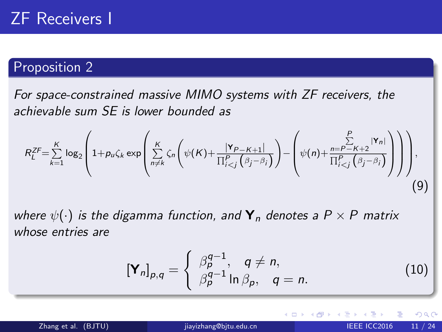#### Proposition 2

For space-constrained massive MIMO systems with ZF receivers, the achievable sum SE is lower bounded as

$$
R_L^{ZF} = \sum_{k=1}^K \log_2 \left( 1 + p_u \zeta_k \exp \left( \sum_{n \neq k}^K \zeta_n \left( \psi(K) + \frac{|\mathbf{Y}_{P-K+1}|}{\prod_{i
$$

where  $\psi(\cdot)$  is the digamma function, and  $\mathbf{Y}_n$  denotes a  $P \times P$  matrix whose entries are

$$
\left[\mathbf{Y}_{n}\right]_{p,q} = \begin{cases} \beta_p^{q-1}, & q \neq n, \\ \beta_p^{q-1} \ln \beta_p, & q = n. \end{cases}
$$
 (10)

<span id="page-10-0"></span> $QQ$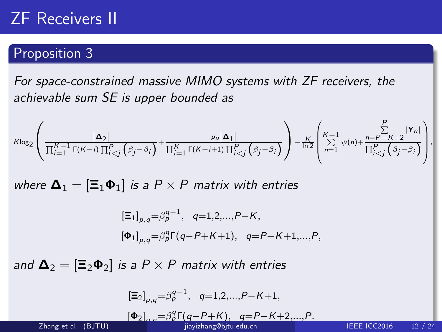### ZF Receivers II

#### Proposition 3

For space-constrained massive MIMO systems with ZF receivers, the achievable sum SE is upper bounded as

$$
\text{Klog}_2\left(\frac{|\Delta_2|}{\prod_{i=1}^{K-1}\Gamma(K-i)\prod_{i
$$

where  $\mathbf{\Delta}_1 = [\mathbf{\Xi}_1 \mathbf{\Phi}_1]$  is a  $P \times P$  matrix with entries

$$
\begin{aligned} \left[\Xi_1\right]_{\rho,q} &= \beta_p^{q-1}, \quad q=1,2,\dots,P-K, \\ \left[\Phi_1\right]_{\rho,q} &= \beta_p^q \Gamma(q-P+K+1), \quad q=P-K+1,\dots,P, \end{aligned}
$$

and  $\Delta_2 = [\Xi_2 \Phi_2]$  is a  $P \times P$  matrix with entries

$$
\left[\Xi_2\right]_{p,q} = \beta_p^{q-1}, \quad q=1,2,\ldots,P-K+1,
$$

$$
[\Phi_2]_{p,q} = \beta_p^q \Gamma(q - P + K), \quad q = P - K + 2, ..., P.
$$

<span id="page-11-0"></span>,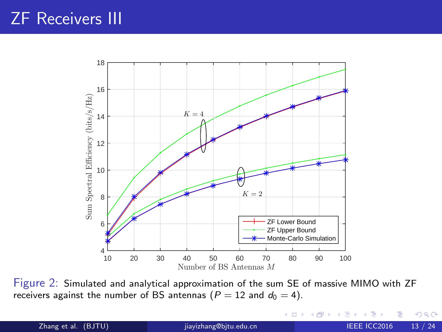### ZF Receivers III



Figure 2: Simulated and analytical approximation of the sum SE of massive MIMO with ZF receivers against the number of BS antennas ( $P = 12$  and  $d_0 = 4$ ).

4 0 8

 $\rightarrow$ э  $\rightarrow$ 

Zhang et al. (BJTU) is a [jiayizhang@bjtu.edu.cn](#page-0-0) IEEE ICC2016 13 / 24

<span id="page-12-0"></span>э

Þ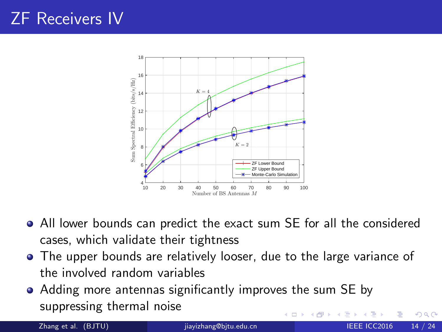# ZF Receivers IV



- All lower bounds can predict the exact sum SE for all the considered cases, which validate their tightness
- The upper bounds are relatively looser, due to the large variance of the involved random variables
- Adding more antennas significantly improves the sum SE by suppressing thermal noise 4 **ED**

 $\Omega$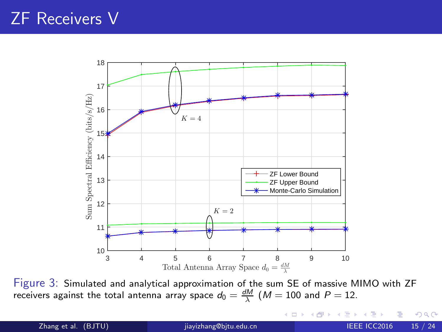### ZF Receivers V



Figure 3: Simulated and analytical approximation of the sum SE of massive MIMO with ZF receivers against the total antenna array space  $d_0 = \frac{dM}{\lambda}$   $(M = 100$  and  $P = 12.$ 

4 D F

Zhang et al. (BJTU) is via provided by interesting the state of the state of the state of the state of the state of the state of the state of the state of the state of the state of the state of the state of the state of th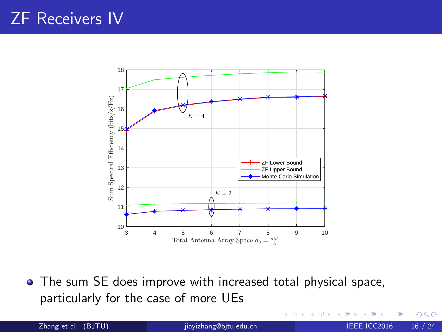## ZF Receivers IV



The sum SE does improve with increased total physical space, particularly for the case of more UEs

4 0 8

Zhang et al. (BJTU) [jiayizhang@bjtu.edu.cn](#page-0-0) IEEE ICC2016 16 / 24

÷

 $2Q$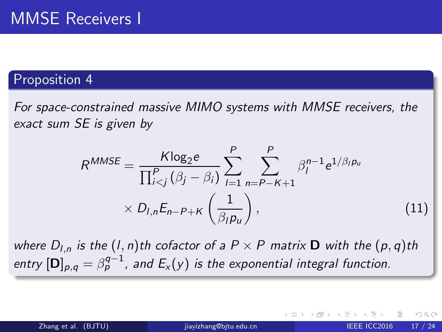#### Proposition 4

For space-constrained massive MIMO systems with MMSE receivers, the exact sum SE is given by

$$
R^{MMSE} = \frac{K \log_2 e}{\prod_{i  
×  $D_{l,n} E_{n-P+K} \left( \frac{1}{\beta_l p_u} \right),$  (11)
$$

where  $D_{l,n}$  is the  $(l,n)$ th cofactor of a  $P \times P$  matrix **D** with the  $(p,q)$ th entry  $[\mathbf{D}]_{p,q} = \beta_p^{q-1}$ , and  $\mathsf{E}_{\mathsf{x}}(\mathsf{y})$  is the exponential integral function.

<span id="page-16-0"></span>つへへ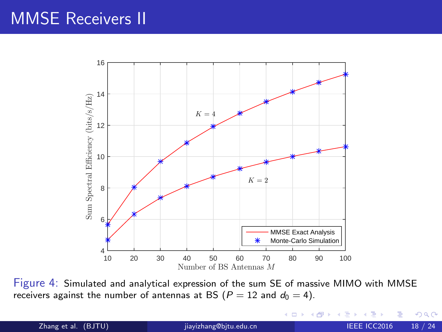### MMSE Receivers II



Figure 4: Simulated and analytical expression of the sum SE of massive MIMO with MMSE receivers against the number of antennas at BS ( $P = 12$  and  $d_0 = 4$ ).

**← ロ ▶ → イ 冊** 

э

Þ ×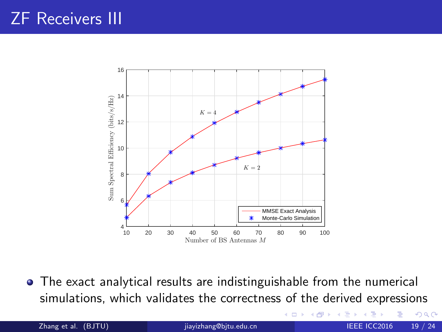# ZF Receivers III



The exact analytical results are indistinguishable from the numerical simulations, which validates the correctness of the derived expressions

> 4 0 8 - 4 17

Zhang et al. (BJTU) is via industrial intervention of the state of the intervention of the intervention of the i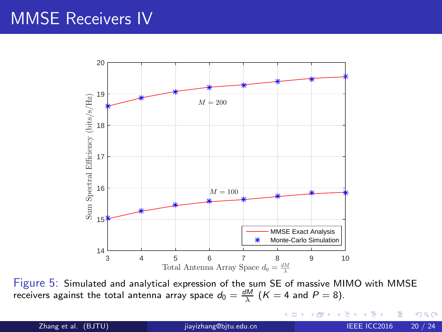### MMSE Receivers IV



Figure 5: Simulated and analytical expression of the sum SE of massive MIMO with MMSE receivers against the total antenna array space  $d_0 = \frac{dM}{\lambda}$   $(K = 4$  and  $P = 8)$ .

4 D F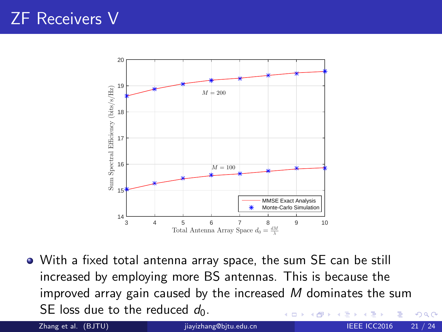### ZF Receivers V



With a fixed total antenna array space, the sum SE can be still increased by employing more BS antennas. This is because the improved array gain caused by the increased  $M$  dominates the sum SE loss due to the reduced  $d_0$ .  $QQ$ 

<span id="page-20-0"></span>

Zhang et al. (BJTU) is invigitedu.cn in the state of the ICC2016 21 / 24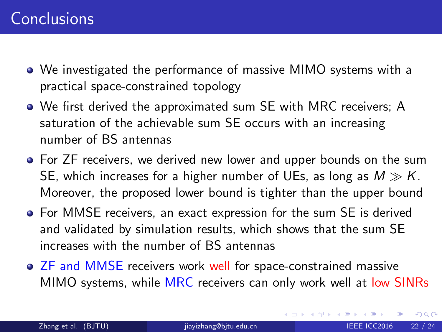- We investigated the performance of massive MIMO systems with a practical space-constrained topology
- We first derived the approximated sum SE with MRC receivers; A saturation of the achievable sum SE occurs with an increasing number of BS antennas
- For ZF receivers, we derived new lower and upper bounds on the sum SE, which increases for a higher number of UEs, as long as  $M \gg K$ . Moreover, the proposed lower bound is tighter than the upper bound
- For MMSE receivers, an exact expression for the sum SE is derived and validated by simulation results, which shows that the sum SE increases with the number of BS antennas
- ZF and MMSE receivers work well for space-constrained massive MIMO systems, while MRC receivers can only work well at low SINRs

K □ ▶ K @ ▶ K ミ ▶ K

<span id="page-21-0"></span> $QQ$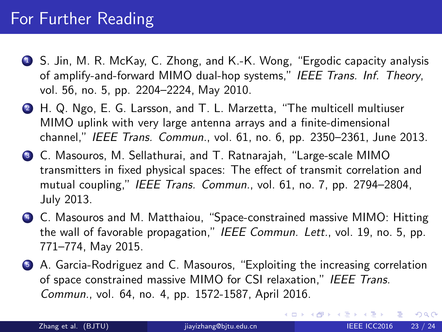### For Further Reading

- <sup>1</sup> S. Jin, M. R. McKay, C. Zhong, and K.-K. Wong, "Ergodic capacity analysis of amplify-and-forward MIMO dual-hop systems," IEEE Trans. Inf. Theory, vol. 56, no. 5, pp. 2204–2224, May 2010.
- <sup>2</sup> H. Q. Ngo, E. G. Larsson, and T. L. Marzetta, "The multicell multiuser MIMO uplink with very large antenna arrays and a finite-dimensional channel," IEEE Trans. Commun., vol. 61, no. 6, pp. 2350–2361, June 2013.
- <sup>3</sup> C. Masouros, M. Sellathurai, and T. Ratnarajah, "Large-scale MIMO transmitters in fixed physical spaces: The effect of transmit correlation and mutual coupling," IEEE Trans. Commun., vol. 61, no. 7, pp. 2794–2804, July 2013.
- <sup>4</sup> C. Masouros and M. Matthaiou, "Space-constrained massive MIMO: Hitting the wall of favorable propagation," IEEE Commun. Lett., vol. 19, no. 5, pp. 771–774, May 2015.
- <sup>5</sup> A. Garcia-Rodriguez and C. Masouros, "Exploiting the increasing correlation of space constrained massive MIMO for CSI relaxation," IEEE Trans. Commun., vol. 64, no. 4, pp. 1572-1587, April 2016.

 $QQ$